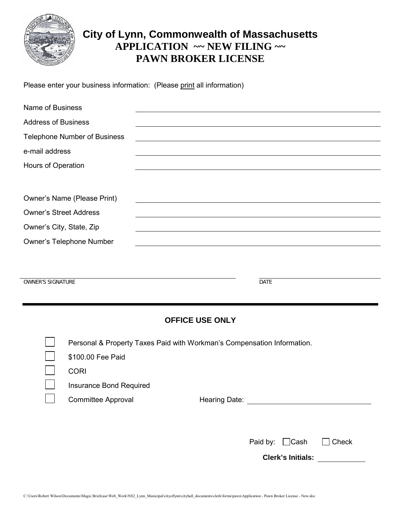

## **City of Lynn, Commonwealth of Massachusetts APPLICATION ~~ NEW FILING ~~ PAWN BROKER LICENSE**

Please enter your business information: (Please print all information)

| Name of Business                    |  |
|-------------------------------------|--|
| <b>Address of Business</b>          |  |
| <b>Telephone Number of Business</b> |  |
| e-mail address                      |  |
| Hours of Operation                  |  |
|                                     |  |
| Owner's Name (Please Print)         |  |
| <b>Owner's Street Address</b>       |  |
| Owner's City, State, Zip            |  |
| <b>Owner's Telephone Number</b>     |  |
|                                     |  |

OWNER'S SIGNATURE **DATE** DATE OF A SIGNATURE **DATE** 

### **OFFICE USE ONLY**

Personal & Property Taxes Paid with Workman's Compensation Information.

- \$100.00 Fee Paid
- CORI
	- Insurance Bond Required
- Committee Approval **Exercise Exercise Committee Approval**

| Paid by: □Cash |  | $\Box$ Check |
|----------------|--|--------------|
|----------------|--|--------------|

**Clerk's Initials:**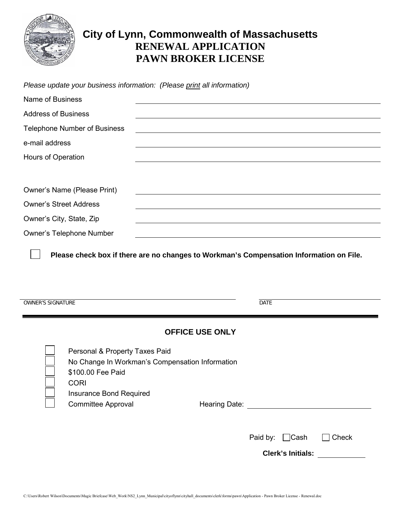

# **City of Lynn, Commonwealth of Massachusetts RENEWAL APPLICATION PAWN BROKER LICENSE**

|                               | Please update your business information: (Please print all information)                                                                                                |                        |                               |       |
|-------------------------------|------------------------------------------------------------------------------------------------------------------------------------------------------------------------|------------------------|-------------------------------|-------|
| Name of Business              |                                                                                                                                                                        |                        |                               |       |
| <b>Address of Business</b>    |                                                                                                                                                                        |                        |                               |       |
|                               | <b>Telephone Number of Business</b>                                                                                                                                    |                        |                               |       |
| e-mail address                |                                                                                                                                                                        |                        |                               |       |
| Hours of Operation            |                                                                                                                                                                        |                        |                               |       |
|                               | <b>Owner's Name (Please Print)</b>                                                                                                                                     |                        |                               |       |
| <b>Owner's Street Address</b> |                                                                                                                                                                        |                        |                               |       |
| Owner's City, State, Zip      |                                                                                                                                                                        |                        |                               |       |
|                               | <b>Owner's Telephone Number</b>                                                                                                                                        |                        |                               |       |
| <b>OWNER'S SIGNATURE</b>      |                                                                                                                                                                        |                        | <b>DATE</b>                   |       |
|                               |                                                                                                                                                                        | <b>OFFICE USE ONLY</b> |                               |       |
|                               | Personal & Property Taxes Paid<br>No Change In Workman's Compensation Information<br>\$100.00 Fee Paid<br><b>CORI</b><br>Insurance Bond Required<br>Committee Approval |                        |                               |       |
|                               |                                                                                                                                                                        |                        | Paid by: $\Box$ Cash          | Check |
|                               |                                                                                                                                                                        |                        | Clerk's Initials: ___________ |       |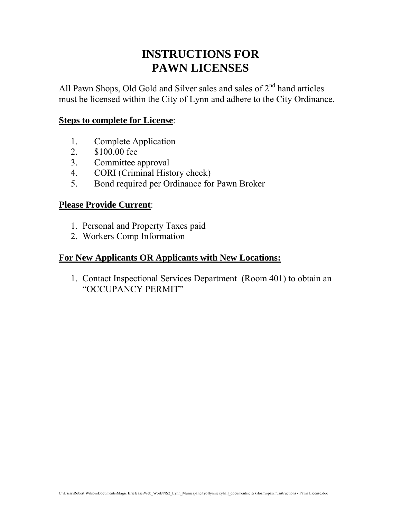# **INSTRUCTIONS FOR PAWN LICENSES**

All Pawn Shops, Old Gold and Silver sales and sales of  $2<sup>nd</sup>$  hand articles must be licensed within the City of Lynn and adhere to the City Ordinance.

### **Steps to complete for License**:

- 1. Complete Application
- 2. \$100.00 fee
- 3. Committee approval
- 4. CORI (Criminal History check)
- 5. Bond required per Ordinance for Pawn Broker

### **Please Provide Current**:

- 1. Personal and Property Taxes paid
- 2. Workers Comp Information

### **For New Applicants OR Applicants with New Locations:**

1. Contact Inspectional Services Department (Room 401) to obtain an "OCCUPANCY PERMIT"